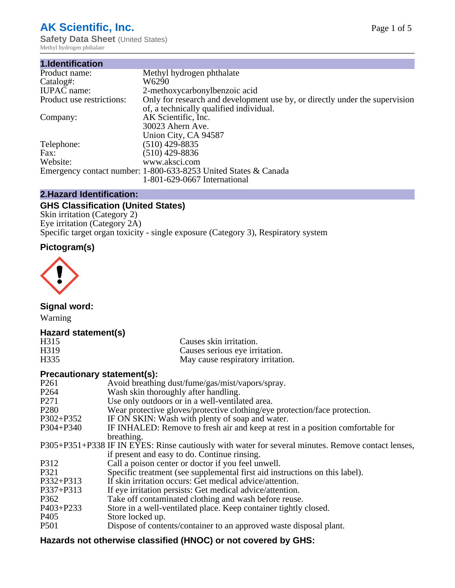# **AK Scientific, Inc.**

**Safety Data Sheet (United States)** Methyl hydrogen phthalate

| 1.Identification          |                                                                             |
|---------------------------|-----------------------------------------------------------------------------|
| Product name:             | Methyl hydrogen phthalate                                                   |
| Catalog#:                 | W6290                                                                       |
| <b>IUPAC</b> name:        | 2-methoxycarbonylbenzoic acid                                               |
| Product use restrictions: | Only for research and development use by, or directly under the supervision |
|                           | of, a technically qualified individual.                                     |
| Company:                  | AK Scientific, Inc.                                                         |
|                           | 30023 Ahern Ave.                                                            |
|                           | Union City, CA 94587                                                        |
| Telephone:                | $(510)$ 429-8835                                                            |
| Fax:                      | $(510)$ 429-8836                                                            |
| Website:                  | www.aksci.com                                                               |
|                           | Emergency contact number: 1-800-633-8253 United States & Canada             |
|                           | 1-801-629-0667 International                                                |

#### **2.Hazard Identification:**

## **GHS Classification (United States)**

Skin irritation (Category 2) Eye irritation (Category 2A) Specific target organ toxicity - single exposure (Category 3), Respiratory system

# **Pictogram(s)**



**Signal word:**

Warning

#### **Hazard statement(s)**

| H315              | Causes skin irritation.           |
|-------------------|-----------------------------------|
| H <sub>3</sub> 19 | Causes serious eye irritation.    |
| H335              | May cause respiratory irritation. |

#### **Precautionary statement(s):**

| P <sub>261</sub> | Avoid breathing dust/fume/gas/mist/vapors/spray.                                                   |
|------------------|----------------------------------------------------------------------------------------------------|
| P <sub>264</sub> | Wash skin thoroughly after handling.                                                               |
| P <sub>271</sub> | Use only outdoors or in a well-ventilated area.                                                    |
| P <sub>280</sub> | Wear protective gloves/protective clothing/eye protection/face protection.                         |
| P302+P352        | IF ON SKIN: Wash with plenty of soap and water.                                                    |
| $P304 + P340$    | IF INHALED: Remove to fresh air and keep at rest in a position comfortable for                     |
|                  | breathing.                                                                                         |
|                  | P305+P351+P338 IF IN EYES: Rinse cautiously with water for several minutes. Remove contact lenses, |
|                  | if present and easy to do. Continue rinsing.                                                       |
| P312             | Call a poison center or doctor if you feel unwell.                                                 |
| P321             | Specific treatment (see supplemental first aid instructions on this label).                        |
| P332+P313        | If skin irritation occurs: Get medical advice/attention.                                           |
| P337+P313        | If eye irritation persists: Get medical advice/attention.                                          |
| P362             | Take off contaminated clothing and wash before reuse.                                              |
| $P403 + P233$    | Store in a well-ventilated place. Keep container tightly closed.                                   |
| P <sub>405</sub> | Store locked up.                                                                                   |
| P <sub>501</sub> | Dispose of contents/container to an approved waste disposal plant.                                 |
|                  |                                                                                                    |

### **Hazards not otherwise classified (HNOC) or not covered by GHS:**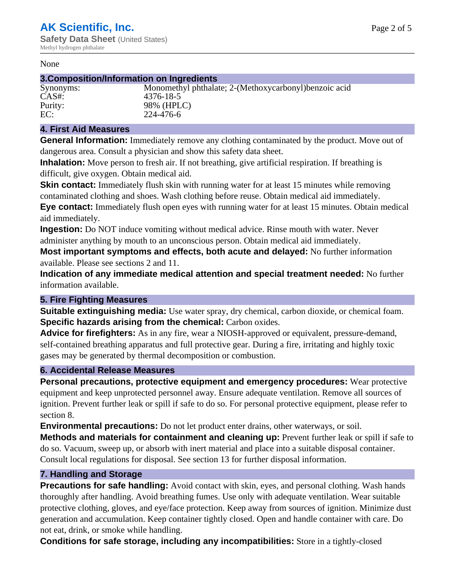#### None

#### **3.Composition/Information on Ingredients**

# CAS#: 4376-18-5

Synonyms: Monomethyl phthalate; 2-(Methoxycarbonyl)benzoic acid Purity: 98% (HPLC)<br>EC: 224-476-6 EC: 224-476-6

#### **4. First Aid Measures**

**General Information:** Immediately remove any clothing contaminated by the product. Move out of dangerous area. Consult a physician and show this safety data sheet.

**Inhalation:** Move person to fresh air. If not breathing, give artificial respiration. If breathing is difficult, give oxygen. Obtain medical aid.

**Skin contact:** Immediately flush skin with running water for at least 15 minutes while removing contaminated clothing and shoes. Wash clothing before reuse. Obtain medical aid immediately.

**Eye contact:** Immediately flush open eyes with running water for at least 15 minutes. Obtain medical aid immediately.

**Ingestion:** Do NOT induce vomiting without medical advice. Rinse mouth with water. Never administer anything by mouth to an unconscious person. Obtain medical aid immediately.

**Most important symptoms and effects, both acute and delayed:** No further information available. Please see sections 2 and 11.

**Indication of any immediate medical attention and special treatment needed:** No further information available.

#### **5. Fire Fighting Measures**

**Suitable extinguishing media:** Use water spray, dry chemical, carbon dioxide, or chemical foam. **Specific hazards arising from the chemical:** Carbon oxides.

**Advice for firefighters:** As in any fire, wear a NIOSH-approved or equivalent, pressure-demand, self-contained breathing apparatus and full protective gear. During a fire, irritating and highly toxic gases may be generated by thermal decomposition or combustion.

#### **6. Accidental Release Measures**

**Personal precautions, protective equipment and emergency procedures:** Wear protective equipment and keep unprotected personnel away. Ensure adequate ventilation. Remove all sources of ignition. Prevent further leak or spill if safe to do so. For personal protective equipment, please refer to section 8.

**Environmental precautions:** Do not let product enter drains, other waterways, or soil.

**Methods and materials for containment and cleaning up:** Prevent further leak or spill if safe to do so. Vacuum, sweep up, or absorb with inert material and place into a suitable disposal container. Consult local regulations for disposal. See section 13 for further disposal information.

#### **7. Handling and Storage**

**Precautions for safe handling:** Avoid contact with skin, eyes, and personal clothing. Wash hands thoroughly after handling. Avoid breathing fumes. Use only with adequate ventilation. Wear suitable protective clothing, gloves, and eye/face protection. Keep away from sources of ignition. Minimize dust generation and accumulation. Keep container tightly closed. Open and handle container with care. Do not eat, drink, or smoke while handling.

**Conditions for safe storage, including any incompatibilities:** Store in a tightly-closed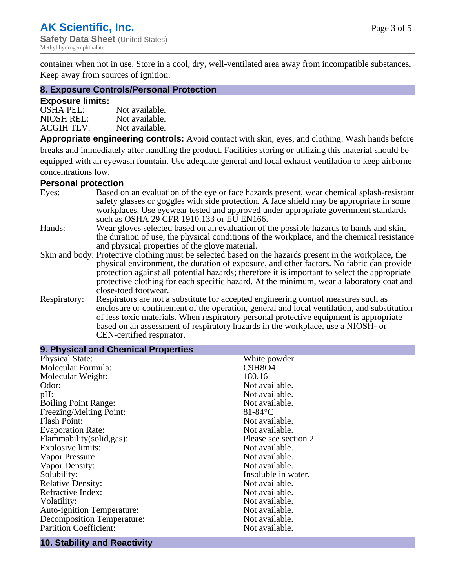container when not in use. Store in a cool, dry, well-ventilated area away from incompatible substances. Keep away from sources of ignition.

#### **8. Exposure Controls/Personal Protection**

#### **Exposure limits:**

| <b>OSHA PEL:</b>  | Not available. |
|-------------------|----------------|
| NIOSH REL:        | Not available. |
| <b>ACGIH TLV:</b> | Not available. |

**Appropriate engineering controls:** Avoid contact with skin, eyes, and clothing. Wash hands before breaks and immediately after handling the product. Facilities storing or utilizing this material should be equipped with an eyewash fountain. Use adequate general and local exhaust ventilation to keep airborne concentrations low.

#### **Personal protection**

| Eyes:        | Based on an evaluation of the eye or face hazards present, wear chemical splash-resistant<br>safety glasses or goggles with side protection. A face shield may be appropriate in some |  |  |
|--------------|---------------------------------------------------------------------------------------------------------------------------------------------------------------------------------------|--|--|
|              | workplaces. Use eyewear tested and approved under appropriate government standards<br>such as OSHA 29 CFR 1910.133 or EU EN166.                                                       |  |  |
| Hands:       | Wear gloves selected based on an evaluation of the possible hazards to hands and skin,                                                                                                |  |  |
|              | the duration of use, the physical conditions of the workplace, and the chemical resistance                                                                                            |  |  |
|              | and physical properties of the glove material.                                                                                                                                        |  |  |
|              | Skin and body: Protective clothing must be selected based on the hazards present in the workplace, the                                                                                |  |  |
|              | physical environment, the duration of exposure, and other factors. No fabric can provide                                                                                              |  |  |
|              | protection against all potential hazards; therefore it is important to select the appropriate                                                                                         |  |  |
|              | protective clothing for each specific hazard. At the minimum, wear a laboratory coat and                                                                                              |  |  |
|              | close-toed footwear.                                                                                                                                                                  |  |  |
| Respiratory: | Respirators are not a substitute for accepted engineering control measures such as<br>enclosure or confinement of the operation, general and local ventilation, and substitution      |  |  |
|              | of less toxic materials. When respiratory personal protective equipment is appropriate                                                                                                |  |  |
|              |                                                                                                                                                                                       |  |  |
|              | based on an assessment of respiratory hazards in the workplace, use a NIOSH- or                                                                                                       |  |  |
|              | CEN-certified respirator.                                                                                                                                                             |  |  |

| 9. Physical and Chemical Properties |  |  |
|-------------------------------------|--|--|
| White powder                        |  |  |
| C9H8O4                              |  |  |
| 180.16                              |  |  |
| Not available.                      |  |  |
| Not available.                      |  |  |
| Not available.                      |  |  |
| $81-84$ °C                          |  |  |
| Not available.                      |  |  |
| Not available.                      |  |  |
| Please see section 2.               |  |  |
| Not available.                      |  |  |
| Not available.                      |  |  |
| Not available.                      |  |  |
| Insoluble in water.                 |  |  |
| Not available.                      |  |  |
| Not available.                      |  |  |
| Not available.                      |  |  |
| Not available.                      |  |  |
| Not available.                      |  |  |
| Not available.                      |  |  |
|                                     |  |  |

#### **10. Stability and Reactivity**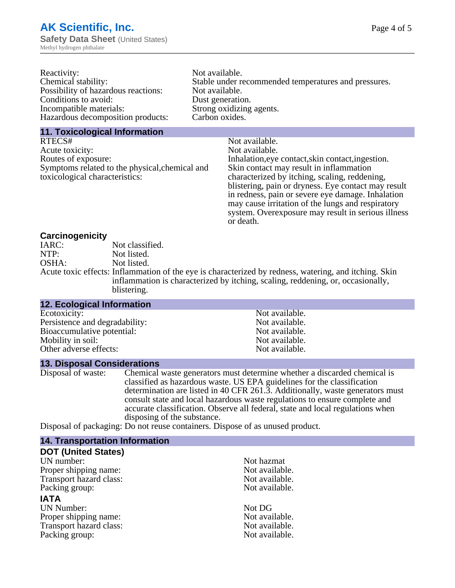| Reactivity:                         | Not available.                                       |
|-------------------------------------|------------------------------------------------------|
| Chemical stability:                 | Stable under recommended temperatures and pressures. |
| Possibility of hazardous reactions: | Not available.                                       |
| Conditions to avoid:                | Dust generation.                                     |
| Incompatible materials:             | Strong oxidizing agents.                             |
| Hazardous decomposition products:   | Carbon oxides.                                       |
|                                     |                                                      |

#### **11. Toxicological Information**

| Not available.                                      |
|-----------------------------------------------------|
| Not available.                                      |
| Inhalation, eye contact, skin contact, ingestion.   |
| Skin contact may result in inflammation             |
| characterized by itching, scaling, reddening,       |
| blistering, pain or dryness. Eye contact may result |
| in redness, pain or severe eye damage. Inhalation   |
| may cause irritation of the lungs and respiratory   |
| system. Overexposure may result in serious illness  |
|                                                     |

or death.

#### **Carcinogenicity**

| IARC: | Not classified.                                                                                       |
|-------|-------------------------------------------------------------------------------------------------------|
| NTP:  | Not listed.                                                                                           |
| OSHA: | Not listed.                                                                                           |
|       | Acute toxic effects: Inflammation of the eye is characterized by redness, watering, and itching. Skin |
|       | inflammation is characterized by itching, scaling, reddening, or, occasionally,                       |
|       | blistering.                                                                                           |

| <b>12. Ecological Information</b> |                |
|-----------------------------------|----------------|
| Ecotoxicity:                      | Not available. |
| Persistence and degradability:    | Not available. |
| Bioaccumulative potential:        | Not available. |
| Mobility in soil:                 | Not available. |
| Other adverse effects:            | Not available. |

#### **13. Disposal Considerations**

Disposal of waste: Chemical waste generators must determine whether a discarded chemical is classified as hazardous waste. US EPA guidelines for the classification determination are listed in 40 CFR 261.3. Additionally, waste generators must consult state and local hazardous waste regulations to ensure complete and accurate classification. Observe all federal, state and local regulations when disposing of the substance.

Disposal of packaging: Do not reuse containers. Dispose of as unused product.

| <b>14. Transportation Information</b> |                |
|---------------------------------------|----------------|
| <b>DOT (United States)</b>            |                |
| UN number:                            | Not hazmat     |
| Proper shipping name:                 | Not available. |
| Transport hazard class:               | Not available. |
| Packing group:                        | Not available. |
| <b>IATA</b>                           |                |
| <b>UN Number:</b>                     | Not DG         |
| Proper shipping name:                 | Not available. |
| Transport hazard class:               | Not available. |
| Packing group:                        | Not available. |